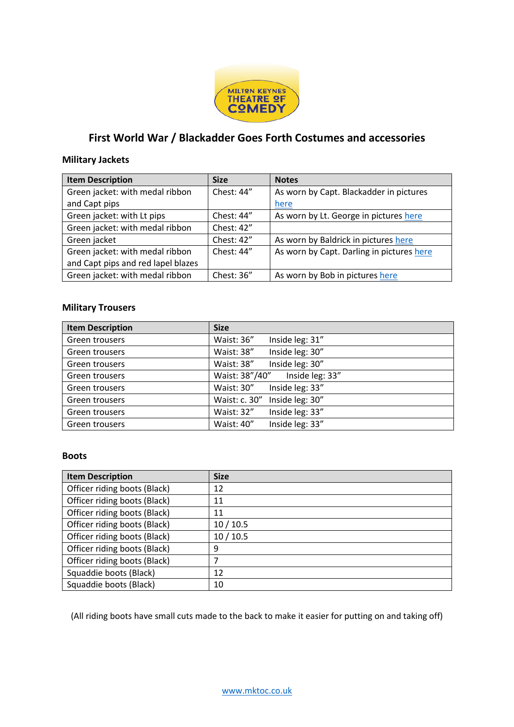

## **First World War / Blackadder Goes Forth Costumes and accessories**

### **Military Jackets**

| <b>Item Description</b>            | <b>Size</b> | <b>Notes</b>                              |
|------------------------------------|-------------|-------------------------------------------|
| Green jacket: with medal ribbon    | Chest: 44"  | As worn by Capt. Blackadder in pictures   |
| and Capt pips                      |             | here                                      |
| Green jacket: with Lt pips         | Chest: 44"  | As worn by Lt. George in pictures here    |
| Green jacket: with medal ribbon    | Chest: 42"  |                                           |
| Green jacket                       | Chest: 42"  | As worn by Baldrick in pictures here      |
| Green jacket: with medal ribbon    | Chest: 44"  | As worn by Capt. Darling in pictures here |
| and Capt pips and red lapel blazes |             |                                           |
| Green jacket: with medal ribbon    | Chest: 36"  | As worn by Bob in pictures here           |

### **Military Trousers**

| <b>Item Description</b> | <b>Size</b>                          |
|-------------------------|--------------------------------------|
| Green trousers          | Inside leg: 31"<br>Waist: 36"        |
| Green trousers          | Inside leg: 30"<br>Waist: 38"        |
| Green trousers          | Inside leg: 30"<br>Waist: 38"        |
| Green trousers          | Waist: 38"/40"<br>Inside leg: 33"    |
| Green trousers          | Inside leg: 33"<br>Waist: 30"        |
| Green trousers          | Inside leg: 30"<br>Waist: c. 30"     |
| Green trousers          | Inside leg: 33"<br><b>Waist: 32"</b> |
| Green trousers          | Inside leg: 33"<br>Waist: 40"        |

#### **Boots**

| <b>Item Description</b>      | <b>Size</b> |
|------------------------------|-------------|
| Officer riding boots (Black) | 12          |
| Officer riding boots (Black) | 11          |
| Officer riding boots (Black) | 11          |
| Officer riding boots (Black) | 10/10.5     |
| Officer riding boots (Black) | 10/10.5     |
| Officer riding boots (Black) | 9           |
| Officer riding boots (Black) |             |
| Squaddie boots (Black)       | 12          |
| Squaddie boots (Black)       | 10          |

(All riding boots have small cuts made to the back to make it easier for putting on and taking off)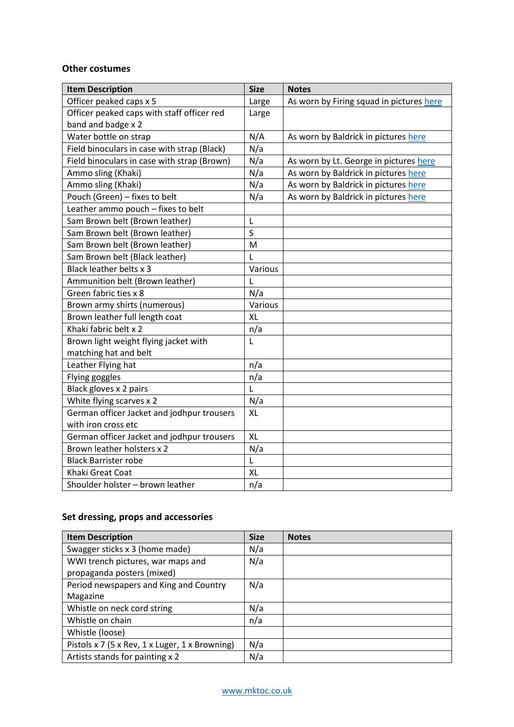#### **Other costumes**

| <b>Item Description</b>                     | <b>Size</b> | <b>Notes</b>                             |
|---------------------------------------------|-------------|------------------------------------------|
| Officer peaked caps x 5                     | Large       | As worn by Firing squad in pictures here |
| Officer peaked caps with staff officer red  | Large       |                                          |
| band and badge x 2                          |             |                                          |
| Water bottle on strap                       | N/A         | As worn by Baldrick in pictures here     |
| Field binoculars in case with strap (Black) | N/a         |                                          |
| Field binoculars in case with strap (Brown) | N/a         | As worn by Lt. George in pictures here   |
| Ammo sling (Khaki)                          | N/a         | As worn by Baldrick in pictures here     |
| Ammo sling (Khaki)                          | N/a         | As worn by Baldrick in pictures here     |
| Pouch (Green) - fixes to belt               | N/a         | As worn by Baldrick in pictures here     |
| Leather ammo pouch - fixes to belt          |             |                                          |
| Sam Brown belt (Brown leather)              | L           |                                          |
| Sam Brown belt (Brown leather)              | S           |                                          |
| Sam Brown belt (Brown leather)              | M           |                                          |
| Sam Brown belt (Black leather)              | L           |                                          |
| Black leather belts x 3                     | Various     |                                          |
| Ammunition belt (Brown leather)             | L           |                                          |
| Green fabric ties x 8                       | N/a         |                                          |
| Brown army shirts (numerous)                | Various     |                                          |
| Brown leather full length coat              | <b>XL</b>   |                                          |
| Khaki fabric belt x 2                       | n/a         |                                          |
| Brown light weight flying jacket with       | L           |                                          |
| matching hat and belt                       |             |                                          |
| Leather Flying hat                          | n/a         |                                          |
| Flying goggles                              | n/a         |                                          |
| Black gloves x 2 pairs                      | L           |                                          |
| White flying scarves x 2                    | N/a         |                                          |
| German officer Jacket and jodhpur trousers  | XL          |                                          |
| with iron cross etc                         |             |                                          |
| German officer Jacket and jodhpur trousers  | XL          |                                          |
| Brown leather holsters x 2                  | N/a         |                                          |
| <b>Black Barrister robe</b>                 | L           |                                          |
| Khaki Great Coat                            | <b>XL</b>   |                                          |
| Shoulder holster - brown leather            | n/a         |                                          |

# **Set dressing, props and accessories**

| <b>Item Description</b>                        | <b>Size</b> | <b>Notes</b> |
|------------------------------------------------|-------------|--------------|
| Swagger sticks x 3 (home made)                 | N/a         |              |
| WWI trench pictures, war maps and              | N/a         |              |
| propaganda posters (mixed)                     |             |              |
| Period newspapers and King and Country         | N/a         |              |
| Magazine                                       |             |              |
| Whistle on neck cord string                    | N/a         |              |
| Whistle on chain                               | n/a         |              |
| Whistle (loose)                                |             |              |
| Pistols x 7 (5 x Rev, 1 x Luger, 1 x Browning) | N/a         |              |
| Artists stands for painting x 2                | N/a         |              |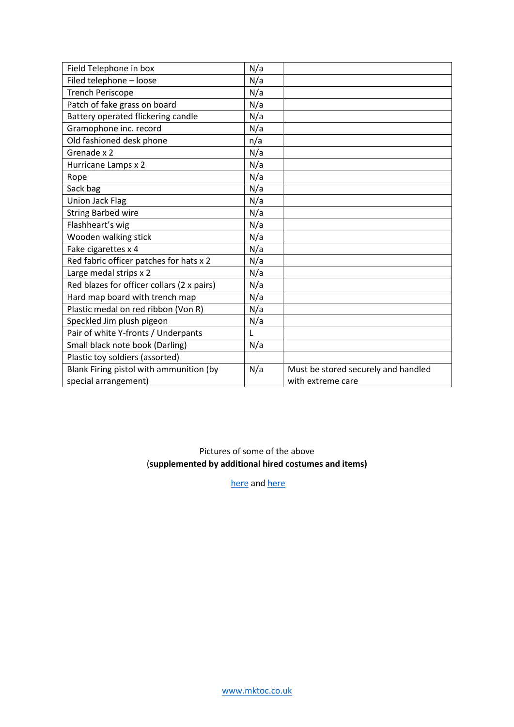| Field Telephone in box                     | N/a |                                     |
|--------------------------------------------|-----|-------------------------------------|
| Filed telephone - loose                    | N/a |                                     |
| <b>Trench Periscope</b>                    | N/a |                                     |
| Patch of fake grass on board               | N/a |                                     |
| Battery operated flickering candle         | N/a |                                     |
| Gramophone inc. record                     | N/a |                                     |
| Old fashioned desk phone                   | n/a |                                     |
| Grenade x 2                                | N/a |                                     |
| Hurricane Lamps x 2                        | N/a |                                     |
| Rope                                       | N/a |                                     |
| Sack bag                                   | N/a |                                     |
| <b>Union Jack Flag</b>                     | N/a |                                     |
| <b>String Barbed wire</b>                  | N/a |                                     |
| Flashheart's wig                           | N/a |                                     |
| Wooden walking stick                       | N/a |                                     |
| Fake cigarettes x 4                        | N/a |                                     |
| Red fabric officer patches for hats x 2    | N/a |                                     |
| Large medal strips x 2                     | N/a |                                     |
| Red blazes for officer collars (2 x pairs) | N/a |                                     |
| Hard map board with trench map             | N/a |                                     |
| Plastic medal on red ribbon (Von R)        | N/a |                                     |
| Speckled Jim plush pigeon                  | N/a |                                     |
| Pair of white Y-fronts / Underpants        | L   |                                     |
| Small black note book (Darling)            | N/a |                                     |
| Plastic toy soldiers (assorted)            |     |                                     |
| Blank Firing pistol with ammunition (by    | N/a | Must be stored securely and handled |
| special arrangement)                       |     | with extreme care                   |

Pictures of some of the above (**supplemented by additional hired costumes and items)**

[here](http://www.mktoc.co.uk/2017/04/06/blackadder-goes-forth/) and [here](http://www.mktoc.co.uk/blackadder-goes-forth-final-push/)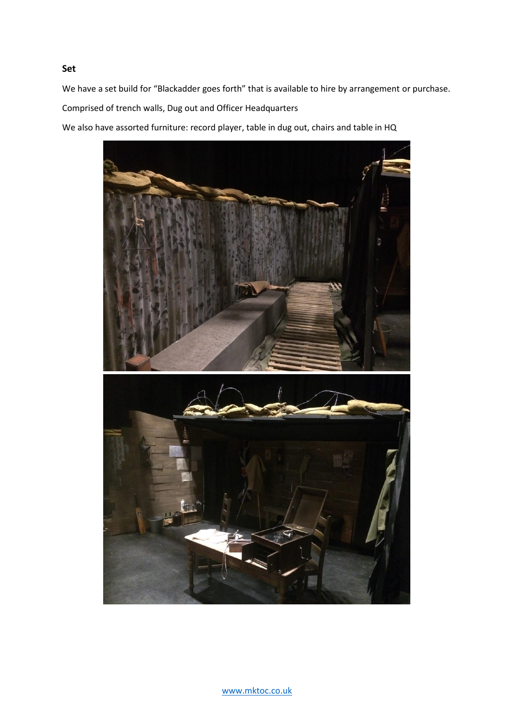We have a set build for "Blackadder goes forth" that is available to hire by arrangement or purchase. Comprised of trench walls, Dug out and Officer Headquarters

We also have assorted furniture: record player, table in dug out, chairs and table in HQ



[www.mktoc.co.uk](http://www.mktoc.co.uk/)